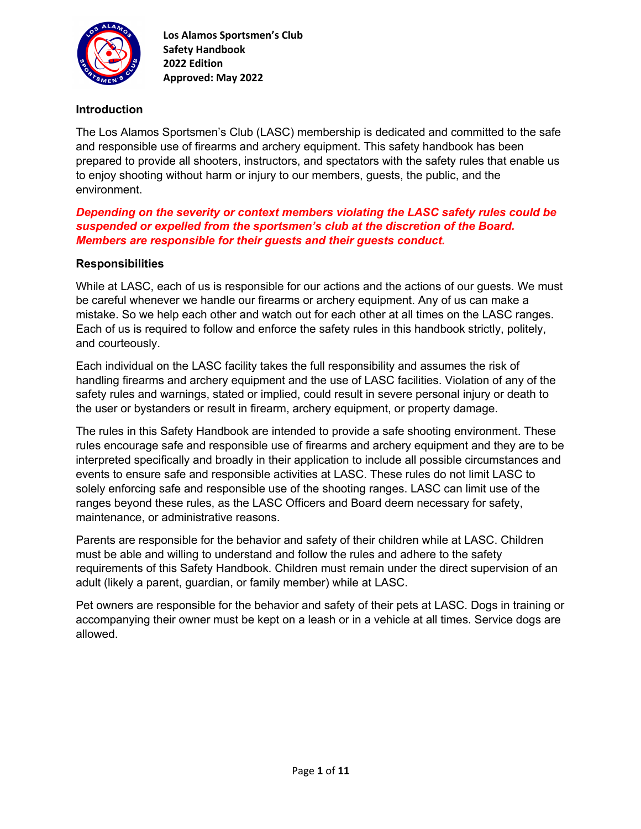

### **Introduction**

The Los Alamos Sportsmen's Club (LASC) membership is dedicated and committed to the safe and responsible use of firearms and archery equipment. This safety handbook has been prepared to provide all shooters, instructors, and spectators with the safety rules that enable us to enjoy shooting without harm or injury to our members, guests, the public, and the environment.

### *Depending on the severity or context members violating the LASC safety rules could be suspended or expelled from the sportsmen's club at the discretion of the Board. Members are responsible for their guests and their guests conduct.*

### **Responsibilities**

While at LASC, each of us is responsible for our actions and the actions of our guests. We must be careful whenever we handle our firearms or archery equipment. Any of us can make a mistake. So we help each other and watch out for each other at all times on the LASC ranges. Each of us is required to follow and enforce the safety rules in this handbook strictly, politely, and courteously.

Each individual on the LASC facility takes the full responsibility and assumes the risk of handling firearms and archery equipment and the use of LASC facilities. Violation of any of the safety rules and warnings, stated or implied, could result in severe personal injury or death to the user or bystanders or result in firearm, archery equipment, or property damage.

The rules in this Safety Handbook are intended to provide a safe shooting environment. These rules encourage safe and responsible use of firearms and archery equipment and they are to be interpreted specifically and broadly in their application to include all possible circumstances and events to ensure safe and responsible activities at LASC. These rules do not limit LASC to solely enforcing safe and responsible use of the shooting ranges. LASC can limit use of the ranges beyond these rules, as the LASC Officers and Board deem necessary for safety, maintenance, or administrative reasons.

Parents are responsible for the behavior and safety of their children while at LASC. Children must be able and willing to understand and follow the rules and adhere to the safety requirements of this Safety Handbook. Children must remain under the direct supervision of an adult (likely a parent, guardian, or family member) while at LASC.

Pet owners are responsible for the behavior and safety of their pets at LASC. Dogs in training or accompanying their owner must be kept on a leash or in a vehicle at all times. Service dogs are allowed.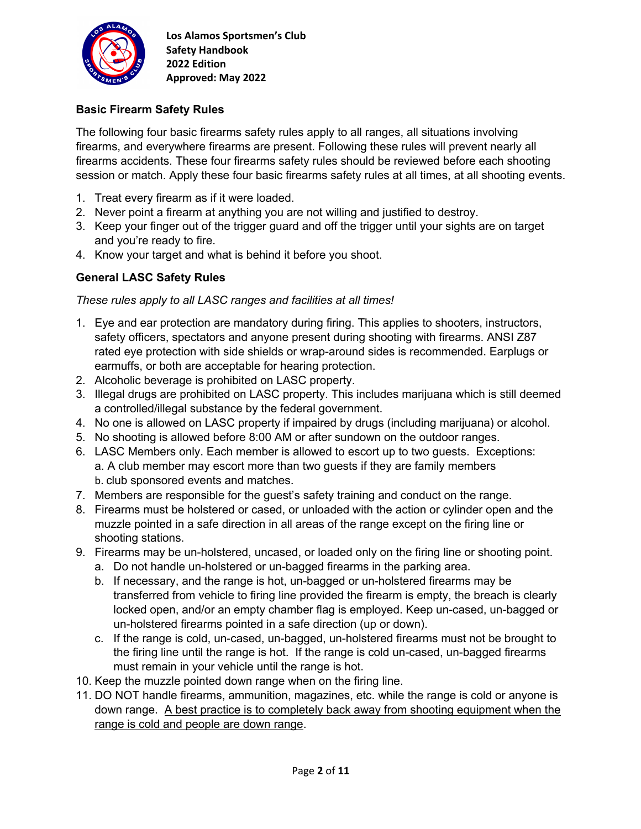

# **Basic Firearm Safety Rules**

The following four basic firearms safety rules apply to all ranges, all situations involving firearms, and everywhere firearms are present. Following these rules will prevent nearly all firearms accidents. These four firearms safety rules should be reviewed before each shooting session or match. Apply these four basic firearms safety rules at all times, at all shooting events.

- 1. Treat every firearm as if it were loaded.
- 2. Never point a firearm at anything you are not willing and justified to destroy.
- 3. Keep your finger out of the trigger guard and off the trigger until your sights are on target and you're ready to fire.
- 4. Know your target and what is behind it before you shoot.

### **General LASC Safety Rules**

*These rules apply to all LASC ranges and facilities at all times!*

- 1. Eye and ear protection are mandatory during firing. This applies to shooters, instructors, safety officers, spectators and anyone present during shooting with firearms. ANSI Z87 rated eye protection with side shields or wrap-around sides is recommended. Earplugs or earmuffs, or both are acceptable for hearing protection.
- 2. Alcoholic beverage is prohibited on LASC property.
- 3. Illegal drugs are prohibited on LASC property. This includes marijuana which is still deemed a controlled/illegal substance by the federal government.
- 4. No one is allowed on LASC property if impaired by drugs (including marijuana) or alcohol.
- 5. No shooting is allowed before 8:00 AM or after sundown on the outdoor ranges.
- 6. LASC Members only. Each member is allowed to escort up to two guests. Exceptions: a. A club member may escort more than two guests if they are family members b. club sponsored events and matches.
- 7. Members are responsible for the guest's safety training and conduct on the range.
- 8. Firearms must be holstered or cased, or unloaded with the action or cylinder open and the muzzle pointed in a safe direction in all areas of the range except on the firing line or shooting stations.
- 9. Firearms may be un-holstered, uncased, or loaded only on the firing line or shooting point.
	- a. Do not handle un-holstered or un-bagged firearms in the parking area.
	- b. If necessary, and the range is hot, un-bagged or un-holstered firearms may be transferred from vehicle to firing line provided the firearm is empty, the breach is clearly locked open, and/or an empty chamber flag is employed. Keep un-cased, un-bagged or un-holstered firearms pointed in a safe direction (up or down).
	- c. If the range is cold, un-cased, un-bagged, un-holstered firearms must not be brought to the firing line until the range is hot. If the range is cold un-cased, un-bagged firearms must remain in your vehicle until the range is hot.
- 10. Keep the muzzle pointed down range when on the firing line.
- 11. DO NOT handle firearms, ammunition, magazines, etc. while the range is cold or anyone is down range. A best practice is to completely back away from shooting equipment when the range is cold and people are down range.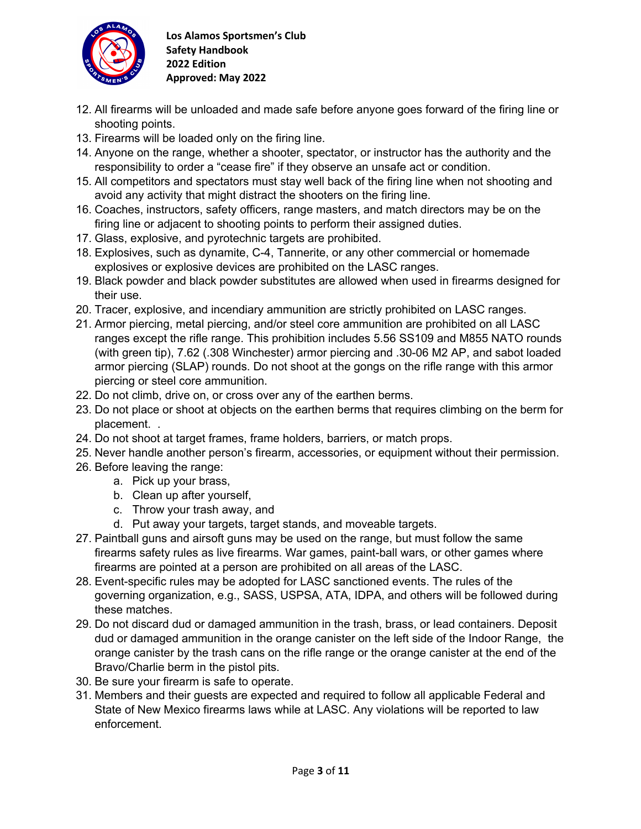

- 12. All firearms will be unloaded and made safe before anyone goes forward of the firing line or shooting points.
- 13. Firearms will be loaded only on the firing line.
- 14. Anyone on the range, whether a shooter, spectator, or instructor has the authority and the responsibility to order a "cease fire" if they observe an unsafe act or condition.
- 15. All competitors and spectators must stay well back of the firing line when not shooting and avoid any activity that might distract the shooters on the firing line.
- 16. Coaches, instructors, safety officers, range masters, and match directors may be on the firing line or adjacent to shooting points to perform their assigned duties.
- 17. Glass, explosive, and pyrotechnic targets are prohibited.
- 18. Explosives, such as dynamite, C-4, Tannerite, or any other commercial or homemade explosives or explosive devices are prohibited on the LASC ranges.
- 19. Black powder and black powder substitutes are allowed when used in firearms designed for their use.
- 20. Tracer, explosive, and incendiary ammunition are strictly prohibited on LASC ranges.
- 21. Armor piercing, metal piercing, and/or steel core ammunition are prohibited on all LASC ranges except the rifle range. This prohibition includes 5.56 SS109 and M855 NATO rounds (with green tip), 7.62 (.308 Winchester) armor piercing and .30-06 M2 AP, and sabot loaded armor piercing (SLAP) rounds. Do not shoot at the gongs on the rifle range with this armor piercing or steel core ammunition.
- 22. Do not climb, drive on, or cross over any of the earthen berms.
- 23. Do not place or shoot at objects on the earthen berms that requires climbing on the berm for placement. .
- 24. Do not shoot at target frames, frame holders, barriers, or match props.
- 25. Never handle another person's firearm, accessories, or equipment without their permission.
- 26. Before leaving the range:
	- a. Pick up your brass,
	- b. Clean up after yourself,
	- c. Throw your trash away, and
	- d. Put away your targets, target stands, and moveable targets.
- 27. Paintball guns and airsoft guns may be used on the range, but must follow the same firearms safety rules as live firearms. War games, paint-ball wars, or other games where firearms are pointed at a person are prohibited on all areas of the LASC.
- 28. Event-specific rules may be adopted for LASC sanctioned events. The rules of the governing organization, e.g., SASS, USPSA, ATA, IDPA, and others will be followed during these matches.
- 29. Do not discard dud or damaged ammunition in the trash, brass, or lead containers. Deposit dud or damaged ammunition in the orange canister on the left side of the Indoor Range, the orange canister by the trash cans on the rifle range or the orange canister at the end of the Bravo/Charlie berm in the pistol pits.
- 30. Be sure your firearm is safe to operate.
- 31. Members and their guests are expected and required to follow all applicable Federal and State of New Mexico firearms laws while at LASC. Any violations will be reported to law enforcement.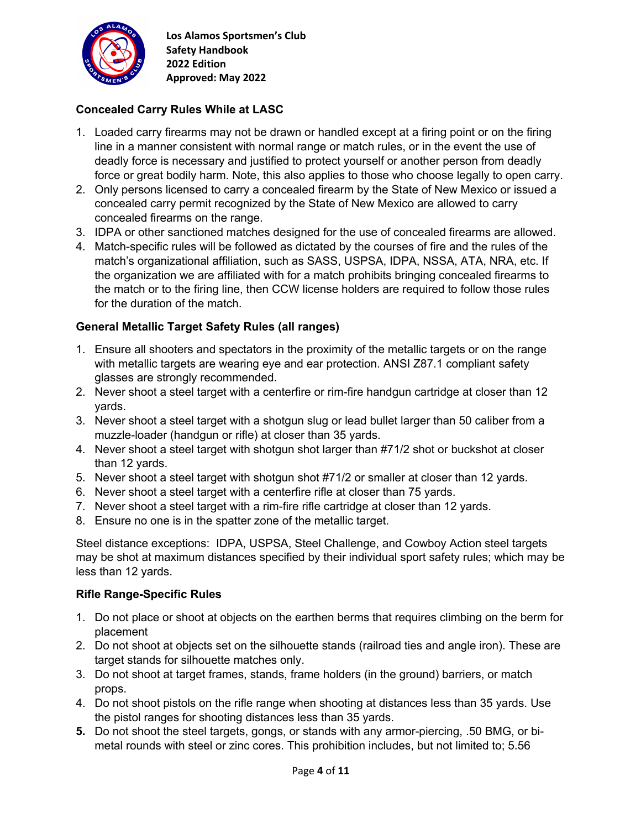

# **Concealed Carry Rules While at LASC**

- 1. Loaded carry firearms may not be drawn or handled except at a firing point or on the firing line in a manner consistent with normal range or match rules, or in the event the use of deadly force is necessary and justified to protect yourself or another person from deadly force or great bodily harm. Note, this also applies to those who choose legally to open carry.
- 2. Only persons licensed to carry a concealed firearm by the State of New Mexico or issued a concealed carry permit recognized by the State of New Mexico are allowed to carry concealed firearms on the range.
- 3. IDPA or other sanctioned matches designed for the use of concealed firearms are allowed.
- 4. Match-specific rules will be followed as dictated by the courses of fire and the rules of the match's organizational affiliation, such as SASS, USPSA, IDPA, NSSA, ATA, NRA, etc. If the organization we are affiliated with for a match prohibits bringing concealed firearms to the match or to the firing line, then CCW license holders are required to follow those rules for the duration of the match.

# **General Metallic Target Safety Rules (all ranges)**

- 1. Ensure all shooters and spectators in the proximity of the metallic targets or on the range with metallic targets are wearing eye and ear protection. ANSI Z87.1 compliant safety glasses are strongly recommended.
- 2. Never shoot a steel target with a centerfire or rim-fire handgun cartridge at closer than 12 yards.
- 3. Never shoot a steel target with a shotgun slug or lead bullet larger than 50 caliber from a muzzle-loader (handgun or rifle) at closer than 35 yards.
- 4. Never shoot a steel target with shotgun shot larger than #71/2 shot or buckshot at closer than 12 yards.
- 5. Never shoot a steel target with shotgun shot #71/2 or smaller at closer than 12 yards.
- 6. Never shoot a steel target with a centerfire rifle at closer than 75 yards.
- 7. Never shoot a steel target with a rim-fire rifle cartridge at closer than 12 yards.
- 8. Ensure no one is in the spatter zone of the metallic target.

Steel distance exceptions: IDPA, USPSA, Steel Challenge, and Cowboy Action steel targets may be shot at maximum distances specified by their individual sport safety rules; which may be less than 12 yards.

### **Rifle Range-Specific Rules**

- 1. Do not place or shoot at objects on the earthen berms that requires climbing on the berm for placement
- 2. Do not shoot at objects set on the silhouette stands (railroad ties and angle iron). These are target stands for silhouette matches only.
- 3. Do not shoot at target frames, stands, frame holders (in the ground) barriers, or match props.
- 4. Do not shoot pistols on the rifle range when shooting at distances less than 35 yards. Use the pistol ranges for shooting distances less than 35 yards.
- **5.** Do not shoot the steel targets, gongs, or stands with any armor-piercing, .50 BMG, or bimetal rounds with steel or zinc cores. This prohibition includes, but not limited to; 5.56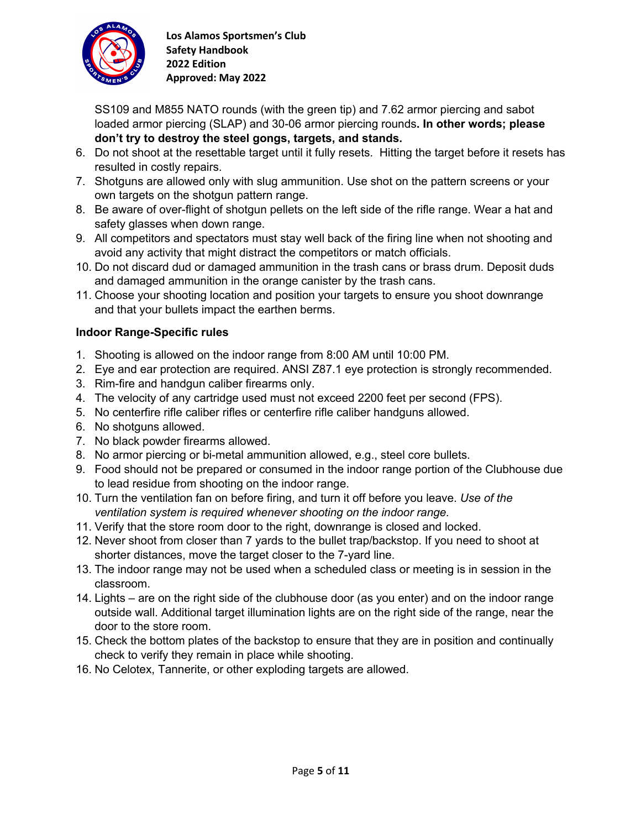

SS109 and M855 NATO rounds (with the green tip) and 7.62 armor piercing and sabot loaded armor piercing (SLAP) and 30-06 armor piercing rounds**. In other words; please don't try to destroy the steel gongs, targets, and stands.**

- 6. Do not shoot at the resettable target until it fully resets. Hitting the target before it resets has resulted in costly repairs.
- 7. Shotguns are allowed only with slug ammunition. Use shot on the pattern screens or your own targets on the shotgun pattern range.
- 8. Be aware of over-flight of shotgun pellets on the left side of the rifle range. Wear a hat and safety glasses when down range.
- 9. All competitors and spectators must stay well back of the firing line when not shooting and avoid any activity that might distract the competitors or match officials.
- 10. Do not discard dud or damaged ammunition in the trash cans or brass drum. Deposit duds and damaged ammunition in the orange canister by the trash cans.
- 11. Choose your shooting location and position your targets to ensure you shoot downrange and that your bullets impact the earthen berms.

# **Indoor Range-Specific rules**

- 1. Shooting is allowed on the indoor range from 8:00 AM until 10:00 PM.
- 2. Eye and ear protection are required. ANSI Z87.1 eye protection is strongly recommended.
- 3. Rim-fire and handgun caliber firearms only.
- 4. The velocity of any cartridge used must not exceed 2200 feet per second (FPS).
- 5. No centerfire rifle caliber rifles or centerfire rifle caliber handguns allowed.
- 6. No shotguns allowed.
- 7. No black powder firearms allowed.
- 8. No armor piercing or bi-metal ammunition allowed, e.g., steel core bullets.
- 9. Food should not be prepared or consumed in the indoor range portion of the Clubhouse due to lead residue from shooting on the indoor range.
- 10. Turn the ventilation fan on before firing, and turn it off before you leave. *Use of the ventilation system is required whenever shooting on the indoor range.*
- 11. Verify that the store room door to the right, downrange is closed and locked.
- 12. Never shoot from closer than 7 yards to the bullet trap/backstop. If you need to shoot at shorter distances, move the target closer to the 7-yard line.
- 13. The indoor range may not be used when a scheduled class or meeting is in session in the classroom.
- 14. Lights are on the right side of the clubhouse door (as you enter) and on the indoor range outside wall. Additional target illumination lights are on the right side of the range, near the door to the store room.
- 15. Check the bottom plates of the backstop to ensure that they are in position and continually check to verify they remain in place while shooting.
- 16. No Celotex, Tannerite, or other exploding targets are allowed.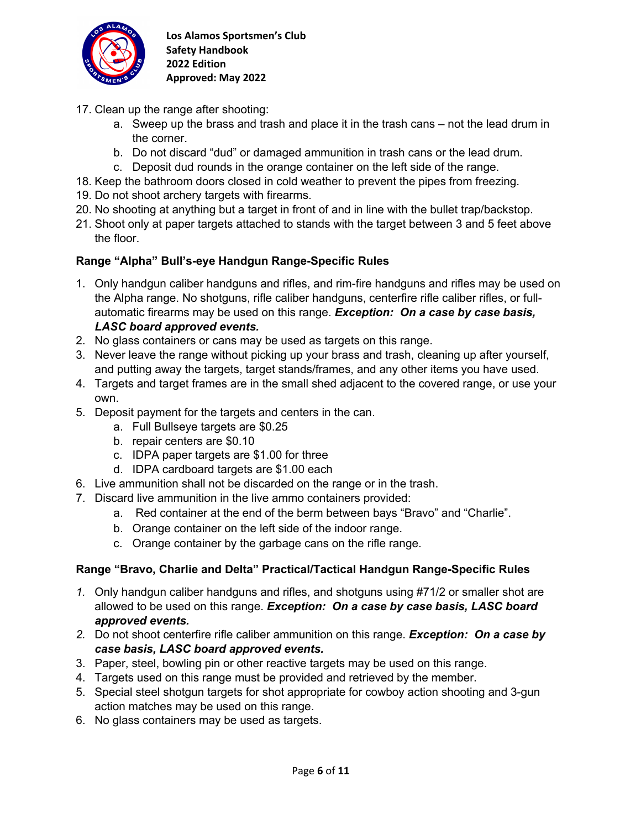

- 17. Clean up the range after shooting:
	- a. Sweep up the brass and trash and place it in the trash cans not the lead drum in the corner.
	- b. Do not discard "dud" or damaged ammunition in trash cans or the lead drum.
	- c. Deposit dud rounds in the orange container on the left side of the range.
- 18. Keep the bathroom doors closed in cold weather to prevent the pipes from freezing.
- 19. Do not shoot archery targets with firearms.
- 20. No shooting at anything but a target in front of and in line with the bullet trap/backstop.
- 21. Shoot only at paper targets attached to stands with the target between 3 and 5 feet above the floor.

# **Range "Alpha" Bull's-eye Handgun Range-Specific Rules**

- 1. Only handgun caliber handguns and rifles, and rim-fire handguns and rifles may be used on the Alpha range. No shotguns, rifle caliber handguns, centerfire rifle caliber rifles, or fullautomatic firearms may be used on this range. *Exception: On a case by case basis, LASC board approved events.*
- 2. No glass containers or cans may be used as targets on this range.
- 3. Never leave the range without picking up your brass and trash, cleaning up after yourself, and putting away the targets, target stands/frames, and any other items you have used.
- 4. Targets and target frames are in the small shed adjacent to the covered range, or use your own.
- 5. Deposit payment for the targets and centers in the can.
	- a. Full Bullseye targets are \$0.25
	- b. repair centers are \$0.10
	- c. IDPA paper targets are \$1.00 for three
	- d. IDPA cardboard targets are \$1.00 each
- 6. Live ammunition shall not be discarded on the range or in the trash.
- 7. Discard live ammunition in the live ammo containers provided:
	- a. Red container at the end of the berm between bays "Bravo" and "Charlie".
	- b. Orange container on the left side of the indoor range.
	- c. Orange container by the garbage cans on the rifle range.

### **Range "Bravo, Charlie and Delta" Practical/Tactical Handgun Range-Specific Rules**

- *1.* Only handgun caliber handguns and rifles, and shotguns using #71/2 or smaller shot are allowed to be used on this range. *Exception: On a case by case basis, LASC board approved events.*
- *2.* Do not shoot centerfire rifle caliber ammunition on this range. *Exception: On a case by case basis, LASC board approved events.*
- 3. Paper, steel, bowling pin or other reactive targets may be used on this range.
- 4. Targets used on this range must be provided and retrieved by the member.
- 5. Special steel shotgun targets for shot appropriate for cowboy action shooting and 3-gun action matches may be used on this range.
- 6. No glass containers may be used as targets.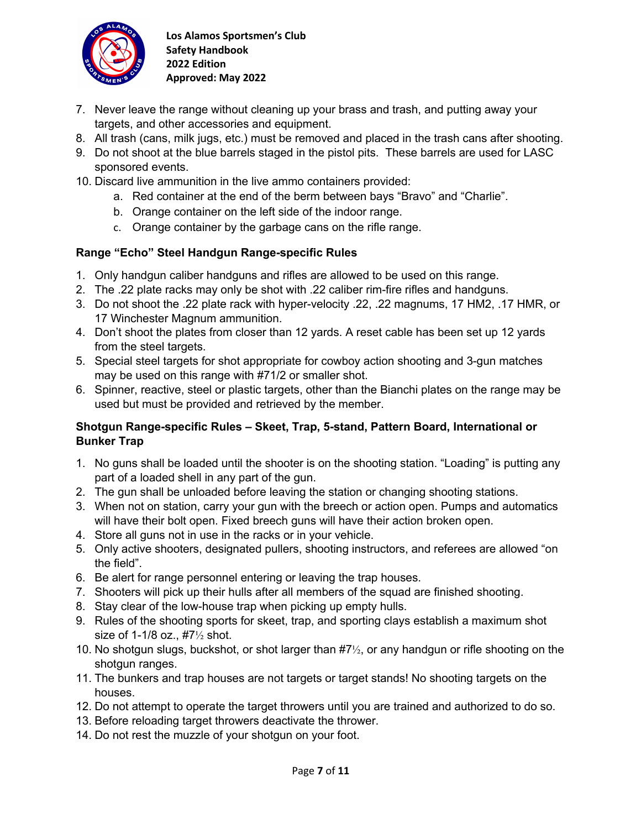

- 7. Never leave the range without cleaning up your brass and trash, and putting away your targets, and other accessories and equipment.
- 8. All trash (cans, milk jugs, etc.) must be removed and placed in the trash cans after shooting.
- 9. Do not shoot at the blue barrels staged in the pistol pits. These barrels are used for LASC sponsored events.
- 10. Discard live ammunition in the live ammo containers provided:
	- a. Red container at the end of the berm between bays "Bravo" and "Charlie".
	- b. Orange container on the left side of the indoor range.
	- c. Orange container by the garbage cans on the rifle range.

# **Range "Echo" Steel Handgun Range-specific Rules**

- 1. Only handgun caliber handguns and rifles are allowed to be used on this range.
- 2. The .22 plate racks may only be shot with .22 caliber rim-fire rifles and handguns.
- 3. Do not shoot the .22 plate rack with hyper-velocity .22, .22 magnums, 17 HM2, .17 HMR, or 17 Winchester Magnum ammunition.
- 4. Don't shoot the plates from closer than 12 yards. A reset cable has been set up 12 yards from the steel targets.
- 5. Special steel targets for shot appropriate for cowboy action shooting and 3-gun matches may be used on this range with #71/2 or smaller shot.
- 6. Spinner, reactive, steel or plastic targets, other than the Bianchi plates on the range may be used but must be provided and retrieved by the member.

# **Shotgun Range-specific Rules – Skeet, Trap, 5-stand, Pattern Board, International or Bunker Trap**

- 1. No guns shall be loaded until the shooter is on the shooting station. "Loading" is putting any part of a loaded shell in any part of the gun.
- 2. The gun shall be unloaded before leaving the station or changing shooting stations.
- 3. When not on station, carry your gun with the breech or action open. Pumps and automatics will have their bolt open. Fixed breech guns will have their action broken open.
- 4. Store all guns not in use in the racks or in your vehicle.
- 5. Only active shooters, designated pullers, shooting instructors, and referees are allowed "on the field".
- 6. Be alert for range personnel entering or leaving the trap houses.
- 7. Shooters will pick up their hulls after all members of the squad are finished shooting.
- 8. Stay clear of the low-house trap when picking up empty hulls.
- 9. Rules of the shooting sports for skeet, trap, and sporting clays establish a maximum shot size of 1-1/8 oz., #7½ shot.
- 10. No shotgun slugs, buckshot, or shot larger than #7½, or any handgun or rifle shooting on the shotgun ranges.
- 11. The bunkers and trap houses are not targets or target stands! No shooting targets on the houses.
- 12. Do not attempt to operate the target throwers until you are trained and authorized to do so.
- 13. Before reloading target throwers deactivate the thrower.
- 14. Do not rest the muzzle of your shotgun on your foot.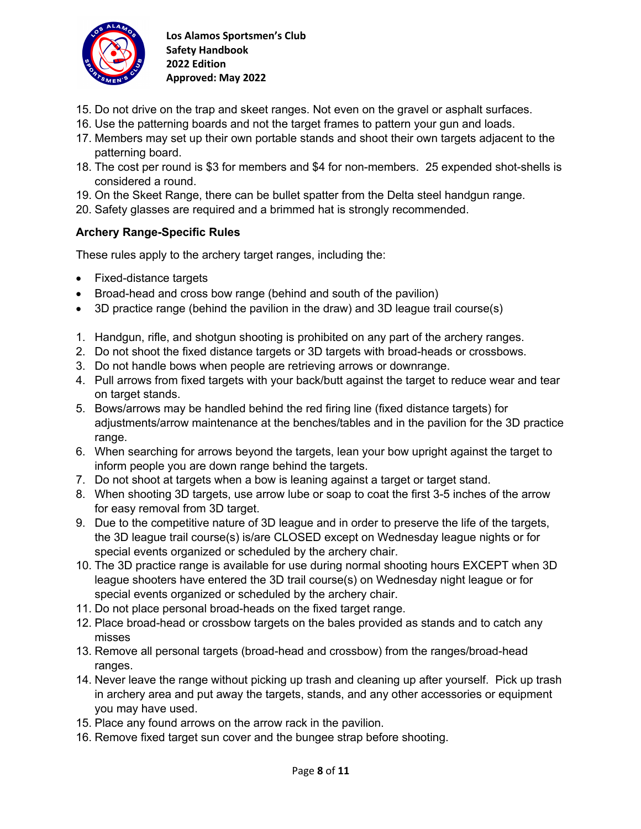

- 15. Do not drive on the trap and skeet ranges. Not even on the gravel or asphalt surfaces.
- 16. Use the patterning boards and not the target frames to pattern your gun and loads.
- 17. Members may set up their own portable stands and shoot their own targets adjacent to the patterning board.
- 18. The cost per round is \$3 for members and \$4 for non-members. 25 expended shot-shells is considered a round.
- 19. On the Skeet Range, there can be bullet spatter from the Delta steel handgun range.
- 20. Safety glasses are required and a brimmed hat is strongly recommended.

### **Archery Range-Specific Rules**

These rules apply to the archery target ranges, including the:

- Fixed-distance targets
- Broad-head and cross bow range (behind and south of the pavilion)
- 3D practice range (behind the pavilion in the draw) and 3D league trail course(s)
- 1. Handgun, rifle, and shotgun shooting is prohibited on any part of the archery ranges.
- 2. Do not shoot the fixed distance targets or 3D targets with broad-heads or crossbows.
- 3. Do not handle bows when people are retrieving arrows or downrange.
- 4. Pull arrows from fixed targets with your back/butt against the target to reduce wear and tear on target stands.
- 5. Bows/arrows may be handled behind the red firing line (fixed distance targets) for adjustments/arrow maintenance at the benches/tables and in the pavilion for the 3D practice range.
- 6. When searching for arrows beyond the targets, lean your bow upright against the target to inform people you are down range behind the targets.
- 7. Do not shoot at targets when a bow is leaning against a target or target stand.
- 8. When shooting 3D targets, use arrow lube or soap to coat the first 3-5 inches of the arrow for easy removal from 3D target.
- 9. Due to the competitive nature of 3D league and in order to preserve the life of the targets, the 3D league trail course(s) is/are CLOSED except on Wednesday league nights or for special events organized or scheduled by the archery chair.
- 10. The 3D practice range is available for use during normal shooting hours EXCEPT when 3D league shooters have entered the 3D trail course(s) on Wednesday night league or for special events organized or scheduled by the archery chair.
- 11. Do not place personal broad-heads on the fixed target range.
- 12. Place broad-head or crossbow targets on the bales provided as stands and to catch any misses
- 13. Remove all personal targets (broad-head and crossbow) from the ranges/broad-head ranges.
- 14. Never leave the range without picking up trash and cleaning up after yourself. Pick up trash in archery area and put away the targets, stands, and any other accessories or equipment you may have used.
- 15. Place any found arrows on the arrow rack in the pavilion.
- 16. Remove fixed target sun cover and the bungee strap before shooting.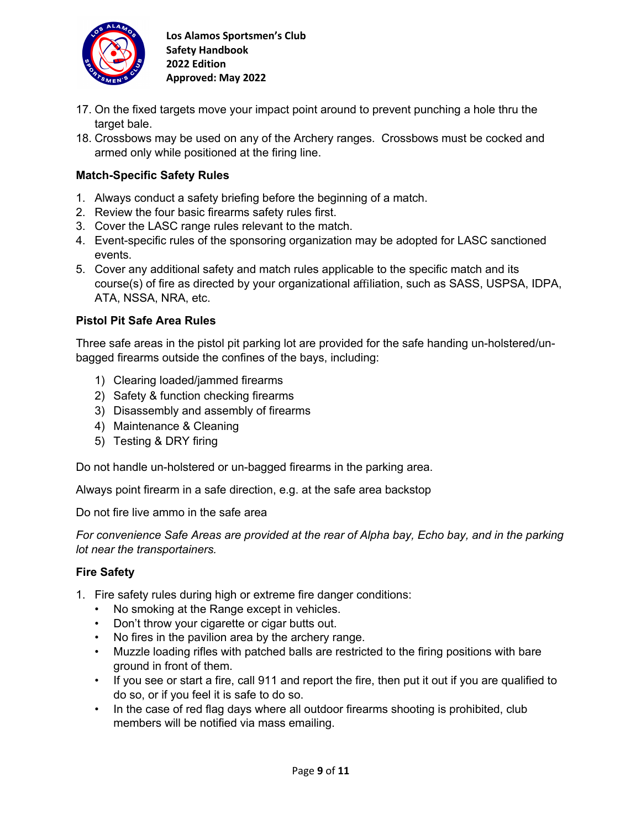

- 17. On the fixed targets move your impact point around to prevent punching a hole thru the target bale.
- 18. Crossbows may be used on any of the Archery ranges. Crossbows must be cocked and armed only while positioned at the firing line.

### **Match-Specific Safety Rules**

- 1. Always conduct a safety briefing before the beginning of a match.
- 2. Review the four basic firearms safety rules first.
- 3. Cover the LASC range rules relevant to the match.
- 4. Event-specific rules of the sponsoring organization may be adopted for LASC sanctioned events.
- 5. Cover any additional safety and match rules applicable to the specific match and its course(s) of fire as directed by your organizational affiliation, such as SASS, USPSA, IDPA, ATA, NSSA, NRA, etc.

### **Pistol Pit Safe Area Rules**

Three safe areas in the pistol pit parking lot are provided for the safe handing un-holstered/unbagged firearms outside the confines of the bays, including:

- 1) Clearing loaded/jammed firearms
- 2) Safety & function checking firearms
- 3) Disassembly and assembly of firearms
- 4) Maintenance & Cleaning
- 5) Testing & DRY firing

Do not handle un-holstered or un-bagged firearms in the parking area.

Always point firearm in a safe direction, e.g. at the safe area backstop

Do not fire live ammo in the safe area

*For convenience Safe Areas are provided at the rear of Alpha bay, Echo bay, and in the parking lot near the transportainers.*

### **Fire Safety**

- 1. Fire safety rules during high or extreme fire danger conditions:
	- No smoking at the Range except in vehicles.
	- Don't throw your cigarette or cigar butts out.
	- No fires in the pavilion area by the archery range.
	- Muzzle loading rifles with patched balls are restricted to the firing positions with bare ground in front of them.
	- If you see or start a fire, call 911 and report the fire, then put it out if you are qualified to do so, or if you feel it is safe to do so.
	- In the case of red flag days where all outdoor firearms shooting is prohibited, club members will be notified via mass emailing.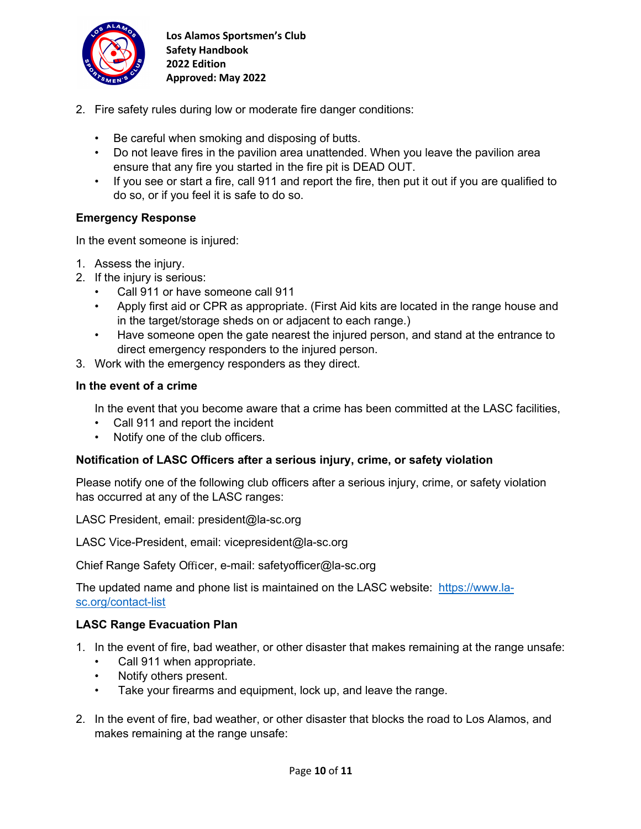

- 2. Fire safety rules during low or moderate fire danger conditions:
	- Be careful when smoking and disposing of butts.
	- Do not leave fires in the pavilion area unattended. When you leave the pavilion area ensure that any fire you started in the fire pit is DEAD OUT.
	- If you see or start a fire, call 911 and report the fire, then put it out if you are qualified to do so, or if you feel it is safe to do so.

### **Emergency Response**

In the event someone is injured:

- 1. Assess the injury.
- 2. If the injury is serious:
	- Call 911 or have someone call 911
	- Apply first aid or CPR as appropriate. (First Aid kits are located in the range house and in the target/storage sheds on or adjacent to each range.)
	- Have someone open the gate nearest the injured person, and stand at the entrance to direct emergency responders to the injured person.
- 3. Work with the emergency responders as they direct.

### **In the event of a crime**

In the event that you become aware that a crime has been committed at the LASC facilities,

- Call 911 and report the incident
- Notify one of the club officers.

### **Notification of LASC Officers after a serious injury, crime, or safety violation**

Please notify one of the following club officers after a serious injury, crime, or safety violation has occurred at any of the LASC ranges:

LASC President, email: president@la-sc.org

LASC Vice-President, email: vicepresident@la-sc.org

Chief Range Safety Officer, e-mail: safetyofficer@la-sc.org

The updated name and phone list is maintained on the LASC website: https://www.lasc.org/contact-list

### **LASC Range Evacuation Plan**

- 1. In the event of fire, bad weather, or other disaster that makes remaining at the range unsafe:
	- Call 911 when appropriate.
	- Notify others present.
	- Take your firearms and equipment, lock up, and leave the range.
- 2. In the event of fire, bad weather, or other disaster that blocks the road to Los Alamos, and makes remaining at the range unsafe: